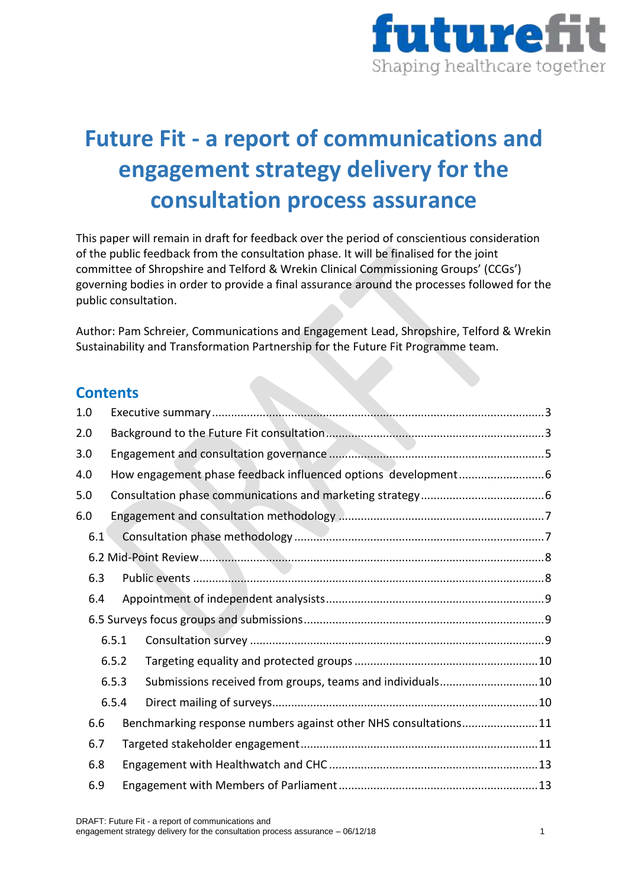

# **Future Fit - a report of communications and engagement strategy delivery for the consultation process assurance**

This paper will remain in draft for feedback over the period of conscientious consideration of the public feedback from the consultation phase. It will be finalised for the joint committee of Shropshire and Telford & Wrekin Clinical Commissioning Groups' (CCGs') governing bodies in order to provide a final assurance around the processes followed for the public consultation.

Author: Pam Schreier, Communications and Engagement Lead, Shropshire, Telford & Wrekin Sustainability and Transformation Partnership for the Future Fit Programme team.

## **Contents**

| 1.0   |       |                                                                 |  |  |
|-------|-------|-----------------------------------------------------------------|--|--|
| 2.0   |       |                                                                 |  |  |
| 3.0   |       |                                                                 |  |  |
| 4.0   |       |                                                                 |  |  |
| 5.0   |       |                                                                 |  |  |
| 6.0   |       |                                                                 |  |  |
| 6.1   |       |                                                                 |  |  |
|       |       |                                                                 |  |  |
| 6.3   |       | <b>Contract</b>                                                 |  |  |
| 6.4   |       |                                                                 |  |  |
|       |       |                                                                 |  |  |
|       | 6.5.1 |                                                                 |  |  |
|       | 6.5.2 |                                                                 |  |  |
| 6.5.3 |       | Submissions received from groups, teams and individuals10       |  |  |
|       | 6.5.4 |                                                                 |  |  |
| 6.6   |       | Benchmarking response numbers against other NHS consultations11 |  |  |
| 6.7   |       |                                                                 |  |  |
| 6.8   |       |                                                                 |  |  |
| 6.9   |       |                                                                 |  |  |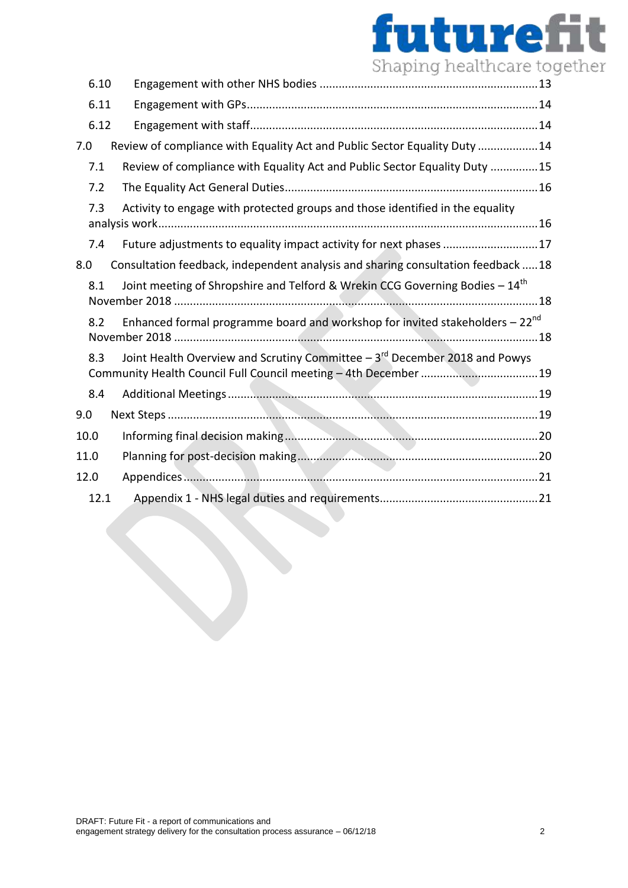# futurefit Shaping healthcare together

| 6.10 |                                                                                          |
|------|------------------------------------------------------------------------------------------|
| 6.11 |                                                                                          |
| 6.12 |                                                                                          |
| 7.0  | Review of compliance with Equality Act and Public Sector Equality Duty 14                |
| 7.1  | Review of compliance with Equality Act and Public Sector Equality Duty 15                |
| 7.2  |                                                                                          |
| 7.3  | Activity to engage with protected groups and those identified in the equality            |
| 7.4  | Future adjustments to equality impact activity for next phases 17                        |
| 8.0  | Consultation feedback, independent analysis and sharing consultation feedback 18         |
| 8.1  | Joint meeting of Shropshire and Telford & Wrekin CCG Governing Bodies - 14 <sup>th</sup> |
| 8.2  | Enhanced formal programme board and workshop for invited stakeholders $-22^{nd}$         |
| 8.3  | Joint Health Overview and Scrutiny Committee $-3rd$ December 2018 and Powys              |
| 8.4  |                                                                                          |
| 9.0  |                                                                                          |
| 10.0 |                                                                                          |
| 11.0 |                                                                                          |
| 12.0 |                                                                                          |
| 12.1 |                                                                                          |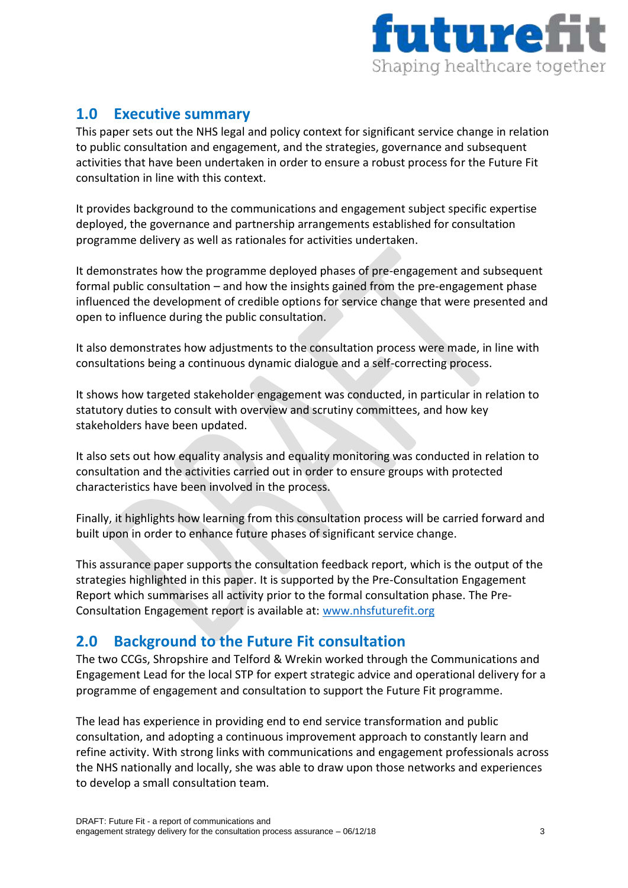

# <span id="page-2-0"></span>**1.0 Executive summary**

This paper sets out the NHS legal and policy context for significant service change in relation to public consultation and engagement, and the strategies, governance and subsequent activities that have been undertaken in order to ensure a robust process for the Future Fit consultation in line with this context.

It provides background to the communications and engagement subject specific expertise deployed, the governance and partnership arrangements established for consultation programme delivery as well as rationales for activities undertaken.

It demonstrates how the programme deployed phases of pre-engagement and subsequent formal public consultation – and how the insights gained from the pre-engagement phase influenced the development of credible options for service change that were presented and open to influence during the public consultation.

It also demonstrates how adjustments to the consultation process were made, in line with consultations being a continuous dynamic dialogue and a self-correcting process.

It shows how targeted stakeholder engagement was conducted, in particular in relation to statutory duties to consult with overview and scrutiny committees, and how key stakeholders have been updated.

It also sets out how equality analysis and equality monitoring was conducted in relation to consultation and the activities carried out in order to ensure groups with protected characteristics have been involved in the process.

Finally, it highlights how learning from this consultation process will be carried forward and built upon in order to enhance future phases of significant service change.

This assurance paper supports the consultation feedback report, which is the output of the strategies highlighted in this paper. It is supported by the Pre-Consultation Engagement Report which summarises all activity prior to the formal consultation phase. The Pre-Consultation Engagement report is available at: [www.nhsfuturefit.org](http://www.nhsfuturefit.org/)

# <span id="page-2-1"></span>**2.0 Background to the Future Fit consultation**

The two CCGs, Shropshire and Telford & Wrekin worked through the Communications and Engagement Lead for the local STP for expert strategic advice and operational delivery for a programme of engagement and consultation to support the Future Fit programme.

The lead has experience in providing end to end service transformation and public consultation, and adopting a continuous improvement approach to constantly learn and refine activity. With strong links with communications and engagement professionals across the NHS nationally and locally, she was able to draw upon those networks and experiences to develop a small consultation team.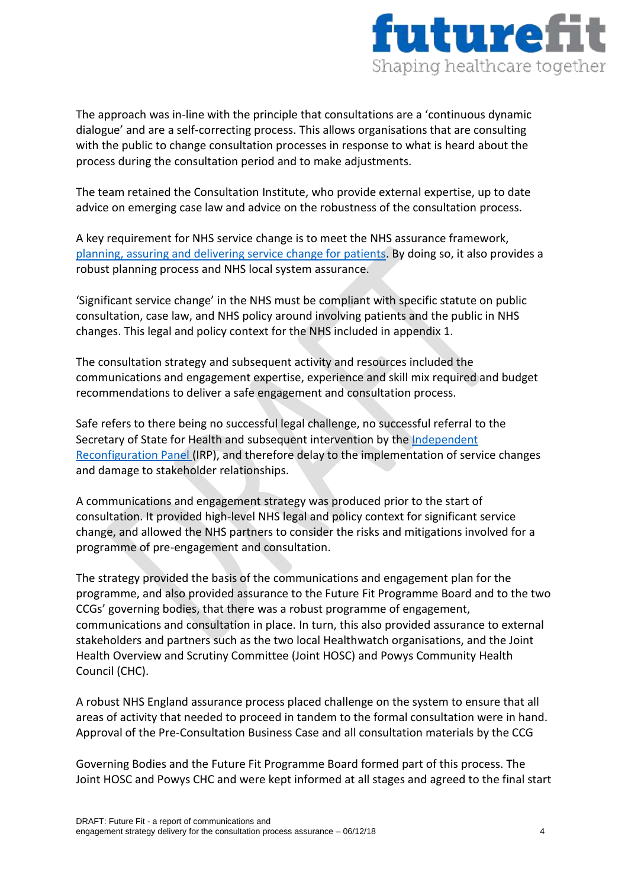

The approach was in-line with the principle that consultations are a 'continuous dynamic dialogue' and are a self-correcting process. This allows organisations that are consulting with the public to change consultation processes in response to what is heard about the process during the consultation period and to make adjustments.

The team retained the Consultation Institute, who provide external expertise, up to date advice on emerging case law and advice on the robustness of the consultation process.

A key requirement for NHS service change is to meet the NHS assurance framework, [planning, assuring and delivering service change for patients.](https://www.england.nhs.uk/wp-content/uploads/2015/10/plan-ass-deliv-serv-chge.pdf) By doing so, it also provides a robust planning process and NHS local system assurance.

'Significant service change' in the NHS must be compliant with specific statute on public consultation, case law, and NHS policy around involving patients and the public in NHS changes. This legal and policy context for the NHS included in appendix 1.

The consultation strategy and subsequent activity and resources included the communications and engagement expertise, experience and skill mix required and budget recommendations to deliver a safe engagement and consultation process.

Safe refers to there being no successful legal challenge, no successful referral to the Secretary of State for Health and subsequent intervention by the [Independent](https://www.gov.uk/government/organisations/independent-reconfiguration-panel)  [Reconfiguration Panel](https://www.gov.uk/government/organisations/independent-reconfiguration-panel) (IRP), and therefore delay to the implementation of service changes and damage to stakeholder relationships.

A communications and engagement strategy was produced prior to the start of consultation. It provided high-level NHS legal and policy context for significant service change, and allowed the NHS partners to consider the risks and mitigations involved for a programme of pre-engagement and consultation.

The strategy provided the basis of the communications and engagement plan for the programme, and also provided assurance to the Future Fit Programme Board and to the two CCGs' governing bodies, that there was a robust programme of engagement, communications and consultation in place. In turn, this also provided assurance to external stakeholders and partners such as the two local Healthwatch organisations, and the Joint Health Overview and Scrutiny Committee (Joint HOSC) and Powys Community Health Council (CHC).

A robust NHS England assurance process placed challenge on the system to ensure that all areas of activity that needed to proceed in tandem to the formal consultation were in hand. Approval of the Pre-Consultation Business Case and all consultation materials by the CCG

Governing Bodies and the Future Fit Programme Board formed part of this process. The Joint HOSC and Powys CHC and were kept informed at all stages and agreed to the final start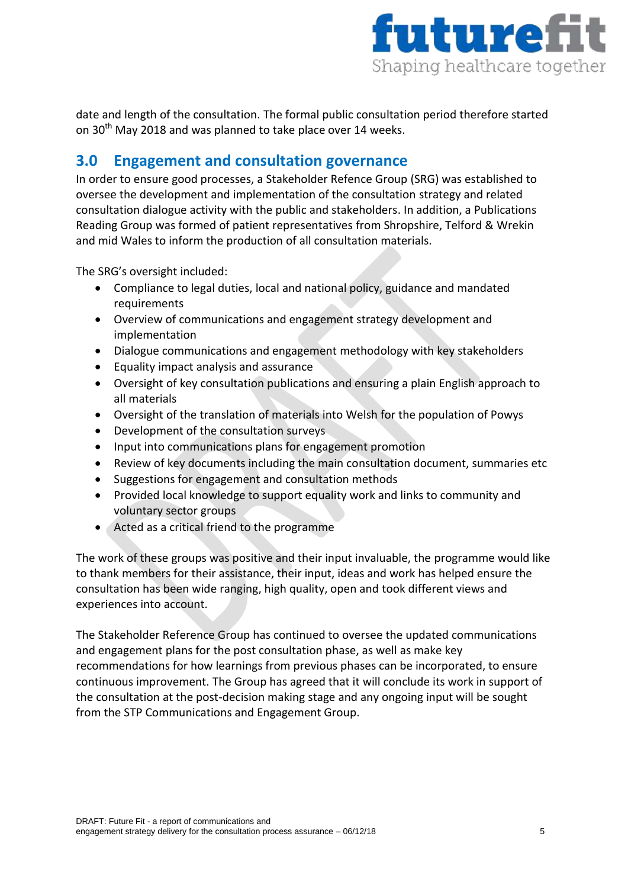

date and length of the consultation. The formal public consultation period therefore started on 30<sup>th</sup> May 2018 and was planned to take place over 14 weeks.

# <span id="page-4-0"></span>**3.0 Engagement and consultation governance**

In order to ensure good processes, a Stakeholder Refence Group (SRG) was established to oversee the development and implementation of the consultation strategy and related consultation dialogue activity with the public and stakeholders. In addition, a Publications Reading Group was formed of patient representatives from Shropshire, Telford & Wrekin and mid Wales to inform the production of all consultation materials.

The SRG's oversight included:

- Compliance to legal duties, local and national policy, guidance and mandated requirements
- Overview of communications and engagement strategy development and implementation
- Dialogue communications and engagement methodology with key stakeholders
- Equality impact analysis and assurance
- Oversight of key consultation publications and ensuring a plain English approach to all materials
- Oversight of the translation of materials into Welsh for the population of Powys
- Development of the consultation surveys
- Input into communications plans for engagement promotion
- Review of key documents including the main consultation document, summaries etc
- Suggestions for engagement and consultation methods
- Provided local knowledge to support equality work and links to community and voluntary sector groups
- Acted as a critical friend to the programme

The work of these groups was positive and their input invaluable, the programme would like to thank members for their assistance, their input, ideas and work has helped ensure the consultation has been wide ranging, high quality, open and took different views and experiences into account.

The Stakeholder Reference Group has continued to oversee the updated communications and engagement plans for the post consultation phase, as well as make key recommendations for how learnings from previous phases can be incorporated, to ensure continuous improvement. The Group has agreed that it will conclude its work in support of the consultation at the post-decision making stage and any ongoing input will be sought from the STP Communications and Engagement Group.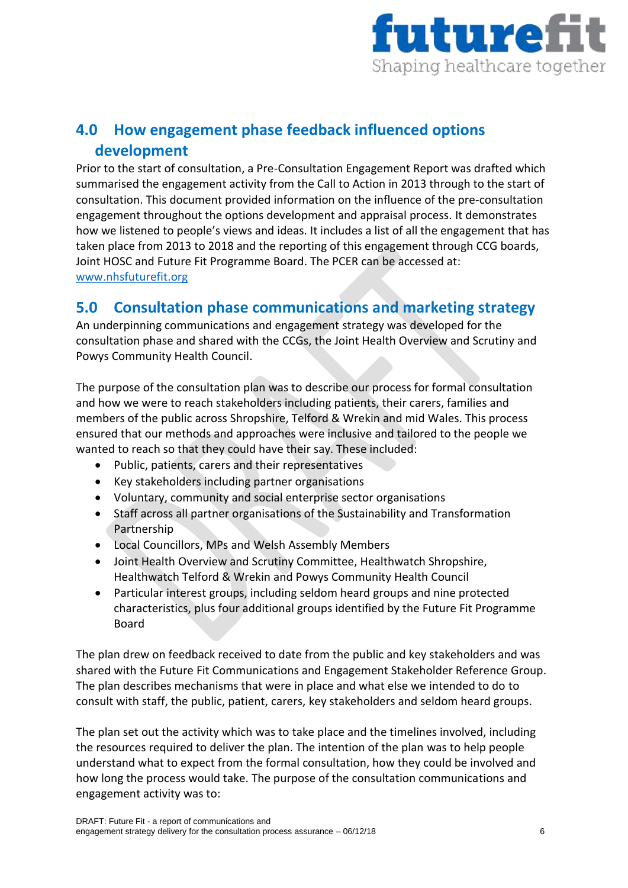

# <span id="page-5-0"></span>**4.0 How engagement phase feedback influenced options development**

Prior to the start of consultation, a Pre-Consultation Engagement Report was drafted which summarised the engagement activity from the Call to Action in 2013 through to the start of consultation. This document provided information on the influence of the pre-consultation engagement throughout the options development and appraisal process. It demonstrates how we listened to people's views and ideas. It includes a list of all the engagement that has taken place from 2013 to 2018 and the reporting of this engagement through CCG boards, Joint HOSC and Future Fit Programme Board. The PCER can be accessed at: [www.nhsfuturefit.org](http://www.nhsfuturefit.org/)

# <span id="page-5-1"></span>**5.0 Consultation phase communications and marketing strategy**

An underpinning communications and engagement strategy was developed for the consultation phase and shared with the CCGs, the Joint Health Overview and Scrutiny and Powys Community Health Council.

The purpose of the consultation plan was to describe our process for formal consultation and how we were to reach stakeholders including patients, their carers, families and members of the public across Shropshire, Telford & Wrekin and mid Wales. This process ensured that our methods and approaches were inclusive and tailored to the people we wanted to reach so that they could have their say. These included:

- Public, patients, carers and their representatives
- Key stakeholders including partner organisations
- Voluntary, community and social enterprise sector organisations
- Staff across all partner organisations of the Sustainability and Transformation Partnership
- Local Councillors, MPs and Welsh Assembly Members
- Joint Health Overview and Scrutiny Committee, Healthwatch Shropshire, Healthwatch Telford & Wrekin and Powys Community Health Council
- Particular interest groups, including seldom heard groups and nine protected characteristics, plus four additional groups identified by the Future Fit Programme Board

The plan drew on feedback received to date from the public and key stakeholders and was shared with the Future Fit Communications and Engagement Stakeholder Reference Group. The plan describes mechanisms that were in place and what else we intended to do to consult with staff, the public, patient, carers, key stakeholders and seldom heard groups.

The plan set out the activity which was to take place and the timelines involved, including the resources required to deliver the plan. The intention of the plan was to help people understand what to expect from the formal consultation, how they could be involved and how long the process would take. The purpose of the consultation communications and engagement activity was to: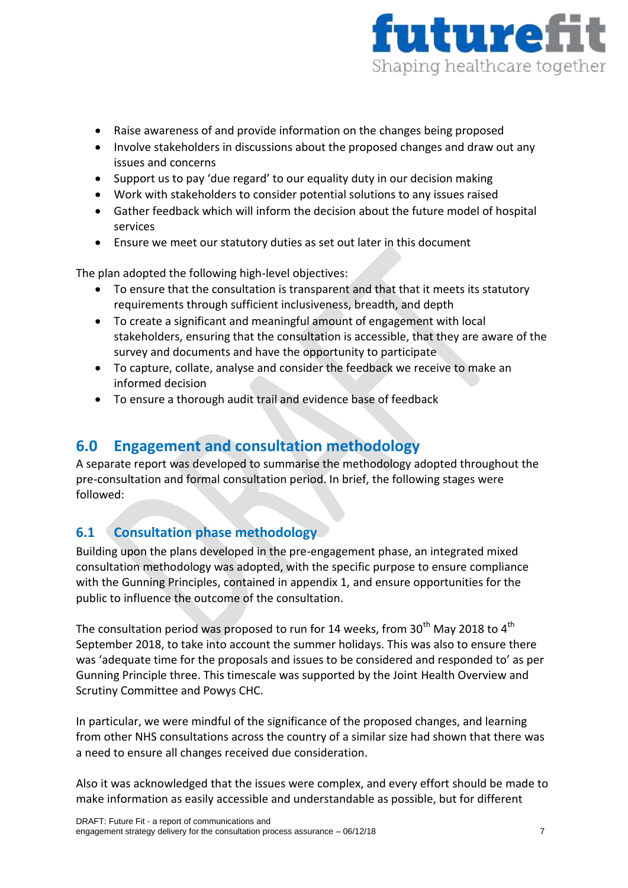

- Raise awareness of and provide information on the changes being proposed
- Involve stakeholders in discussions about the proposed changes and draw out any issues and concerns
- Support us to pay 'due regard' to our equality duty in our decision making
- Work with stakeholders to consider potential solutions to any issues raised
- Gather feedback which will inform the decision about the future model of hospital services
- Ensure we meet our statutory duties as set out later in this document

The plan adopted the following high-level objectives:

- To ensure that the consultation is transparent and that that it meets its statutory requirements through sufficient inclusiveness, breadth, and depth
- To create a significant and meaningful amount of engagement with local stakeholders, ensuring that the consultation is accessible, that they are aware of the survey and documents and have the opportunity to participate
- To capture, collate, analyse and consider the feedback we receive to make an informed decision
- To ensure a thorough audit trail and evidence base of feedback

# <span id="page-6-0"></span>**6.0 Engagement and consultation methodology**

A separate report was developed to summarise the methodology adopted throughout the pre-consultation and formal consultation period. In brief, the following stages were followed:

## <span id="page-6-1"></span>**6.1 Consultation phase methodology**

Building upon the plans developed in the pre-engagement phase, an integrated mixed consultation methodology was adopted, with the specific purpose to ensure compliance with the Gunning Principles, contained in appendix 1, and ensure opportunities for the public to influence the outcome of the consultation.

The consultation period was proposed to run for 14 weeks, from  $30<sup>th</sup>$  May 2018 to 4<sup>th</sup> September 2018, to take into account the summer holidays. This was also to ensure there was 'adequate time for the proposals and issues to be considered and responded to' as per Gunning Principle three. This timescale was supported by the Joint Health Overview and Scrutiny Committee and Powys CHC.

In particular, we were mindful of the significance of the proposed changes, and learning from other NHS consultations across the country of a similar size had shown that there was a need to ensure all changes received due consideration.

Also it was acknowledged that the issues were complex, and every effort should be made to make information as easily accessible and understandable as possible, but for different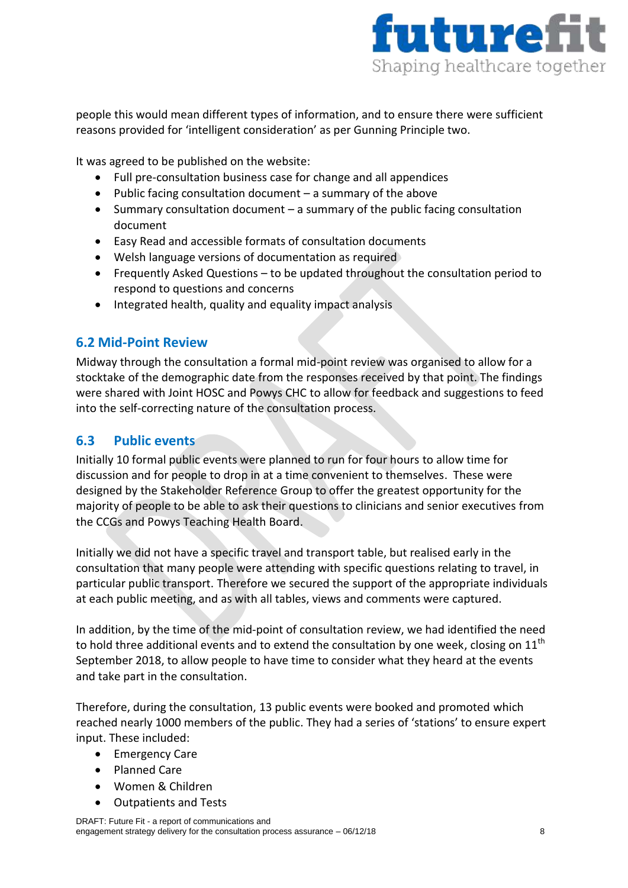

people this would mean different types of information, and to ensure there were sufficient reasons provided for 'intelligent consideration' as per Gunning Principle two.

It was agreed to be published on the website:

- Full pre-consultation business case for change and all appendices
- Public facing consultation document  $-$  a summary of the above
- $\bullet$  Summary consultation document a summary of the public facing consultation document
- Easy Read and accessible formats of consultation documents
- Welsh language versions of documentation as required
- Frequently Asked Questions to be updated throughout the consultation period to respond to questions and concerns
- Integrated health, quality and equality impact analysis

## <span id="page-7-0"></span>**6.2 Mid-Point Review**

Midway through the consultation a formal mid-point review was organised to allow for a stocktake of the demographic date from the responses received by that point. The findings were shared with Joint HOSC and Powys CHC to allow for feedback and suggestions to feed into the self-correcting nature of the consultation process.

## <span id="page-7-1"></span>**6.3 Public events**

Initially 10 formal public events were planned to run for four hours to allow time for discussion and for people to drop in at a time convenient to themselves. These were designed by the Stakeholder Reference Group to offer the greatest opportunity for the majority of people to be able to ask their questions to clinicians and senior executives from the CCGs and Powys Teaching Health Board.

Initially we did not have a specific travel and transport table, but realised early in the consultation that many people were attending with specific questions relating to travel, in particular public transport. Therefore we secured the support of the appropriate individuals at each public meeting, and as with all tables, views and comments were captured.

In addition, by the time of the mid-point of consultation review, we had identified the need to hold three additional events and to extend the consultation by one week, closing on  $11<sup>th</sup>$ September 2018, to allow people to have time to consider what they heard at the events and take part in the consultation.

Therefore, during the consultation, 13 public events were booked and promoted which reached nearly 1000 members of the public. They had a series of 'stations' to ensure expert input. These included:

- **•** Emergency Care
- Planned Care
- Women & Children
- Outpatients and Tests

DRAFT: Future Fit - a report of communications and engagement strategy delivery for the consultation process assurance – 06/12/18 8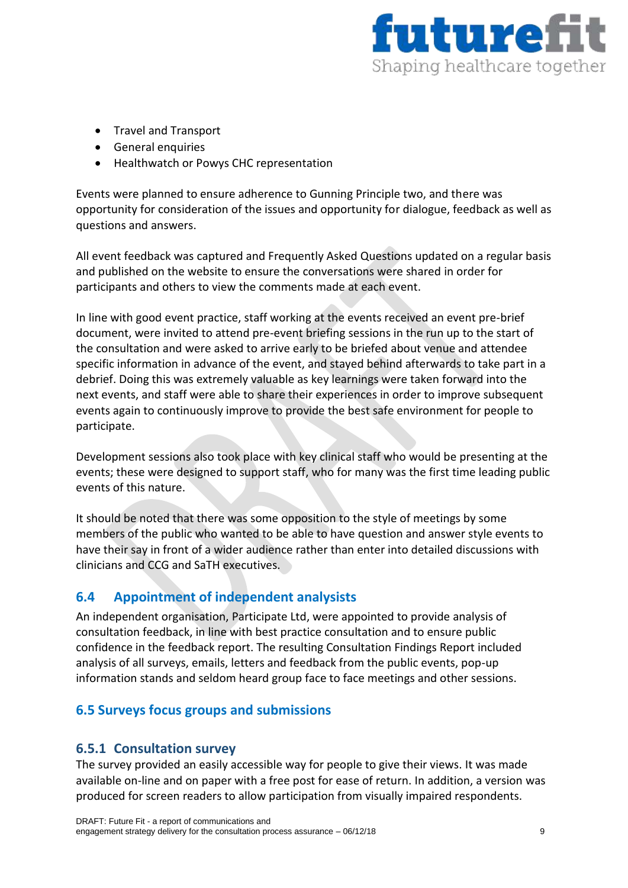

- Travel and Transport
- General enquiries
- Healthwatch or Powys CHC representation

Events were planned to ensure adherence to Gunning Principle two, and there was opportunity for consideration of the issues and opportunity for dialogue, feedback as well as questions and answers.

All event feedback was captured and Frequently Asked Questions updated on a regular basis and published on the website to ensure the conversations were shared in order for participants and others to view the comments made at each event.

In line with good event practice, staff working at the events received an event pre-brief document, were invited to attend pre-event briefing sessions in the run up to the start of the consultation and were asked to arrive early to be briefed about venue and attendee specific information in advance of the event, and stayed behind afterwards to take part in a debrief. Doing this was extremely valuable as key learnings were taken forward into the next events, and staff were able to share their experiences in order to improve subsequent events again to continuously improve to provide the best safe environment for people to participate.

Development sessions also took place with key clinical staff who would be presenting at the events; these were designed to support staff, who for many was the first time leading public events of this nature.

It should be noted that there was some opposition to the style of meetings by some members of the public who wanted to be able to have question and answer style events to have their say in front of a wider audience rather than enter into detailed discussions with clinicians and CCG and SaTH executives.

## <span id="page-8-0"></span>**6.4 Appointment of independent analysists**

An independent organisation, Participate Ltd, were appointed to provide analysis of consultation feedback, in line with best practice consultation and to ensure public confidence in the feedback report. The resulting Consultation Findings Report included analysis of all surveys, emails, letters and feedback from the public events, pop-up information stands and seldom heard group face to face meetings and other sessions.

## <span id="page-8-1"></span>**6.5 Surveys focus groups and submissions**

#### <span id="page-8-2"></span>**6.5.1 Consultation survey**

The survey provided an easily accessible way for people to give their views. It was made available on-line and on paper with a free post for ease of return. In addition, a version was produced for screen readers to allow participation from visually impaired respondents.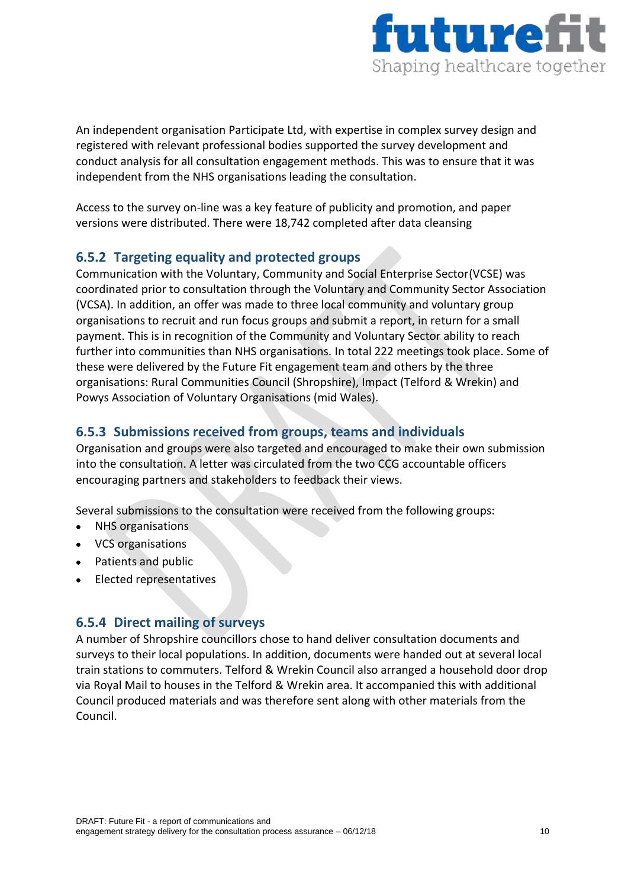

An independent organisation Participate Ltd, with expertise in complex survey design and registered with relevant professional bodies supported the survey development and conduct analysis for all consultation engagement methods. This was to ensure that it was independent from the NHS organisations leading the consultation.

Access to the survey on-line was a key feature of publicity and promotion, and paper versions were distributed. There were 18,742 completed after data cleansing

## <span id="page-9-0"></span>**6.5.2 Targeting equality and protected groups**

Communication with the Voluntary, Community and Social Enterprise Sector(VCSE) was coordinated prior to consultation through the Voluntary and Community Sector Association (VCSA). In addition, an offer was made to three local community and voluntary group organisations to recruit and run focus groups and submit a report, in return for a small payment. This is in recognition of the Community and Voluntary Sector ability to reach further into communities than NHS organisations. In total 222 meetings took place. Some of these were delivered by the Future Fit engagement team and others by the three organisations: Rural Communities Council (Shropshire), Impact (Telford & Wrekin) and Powys Association of Voluntary Organisations (mid Wales).

## <span id="page-9-1"></span>**6.5.3 Submissions received from groups, teams and individuals**

Organisation and groups were also targeted and encouraged to make their own submission into the consultation. A letter was circulated from the two CCG accountable officers encouraging partners and stakeholders to feedback their views.

Several submissions to the consultation were received from the following groups:

- NHS organisations
- VCS organisations
- Patients and public
- Elected representatives

#### <span id="page-9-2"></span>**6.5.4 Direct mailing of surveys**

A number of Shropshire councillors chose to hand deliver consultation documents and surveys to their local populations. In addition, documents were handed out at several local train stations to commuters. Telford & Wrekin Council also arranged a household door drop via Royal Mail to houses in the Telford & Wrekin area. It accompanied this with additional Council produced materials and was therefore sent along with other materials from the Council.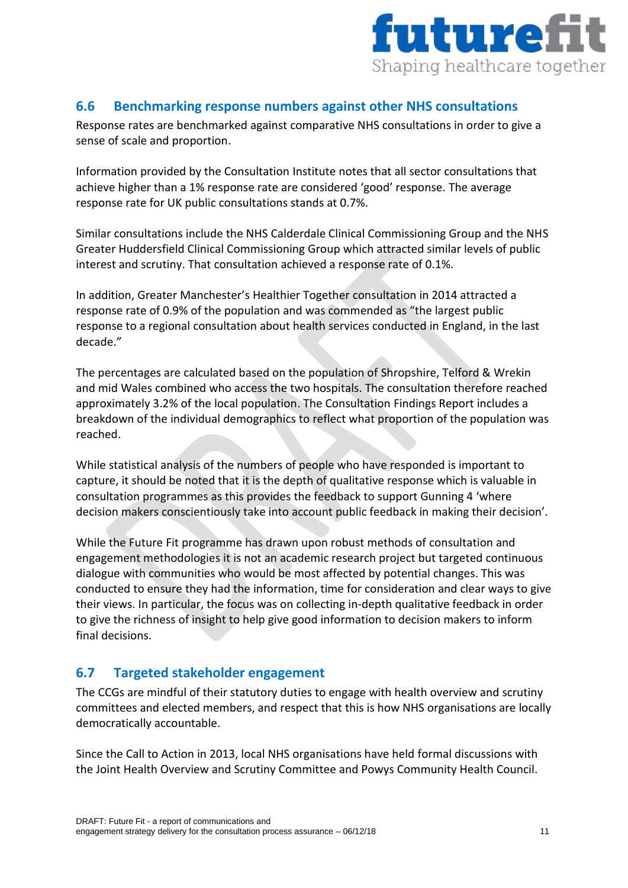

## <span id="page-10-0"></span>**6.6 Benchmarking response numbers against other NHS consultations**

Response rates are benchmarked against comparative NHS consultations in order to give a sense of scale and proportion.

Information provided by the Consultation Institute notes that all sector consultations that achieve higher than a 1% response rate are considered 'good' response. The average response rate for UK public consultations stands at 0.7%.

Similar consultations include the NHS Calderdale Clinical Commissioning Group and the NHS Greater Huddersfield Clinical Commissioning Group which attracted similar levels of public interest and scrutiny. That consultation achieved a response rate of 0.1%.

In addition, Greater Manchester's Healthier Together consultation in 2014 attracted a response rate of 0.9% of the population and was commended as "the largest public response to a regional consultation about health services conducted in England, in the last decade."

The percentages are calculated based on the population of Shropshire, Telford & Wrekin and mid Wales combined who access the two hospitals. The consultation therefore reached approximately 3.2% of the local population. The Consultation Findings Report includes a breakdown of the individual demographics to reflect what proportion of the population was reached.

While statistical analysis of the numbers of people who have responded is important to capture, it should be noted that it is the depth of qualitative response which is valuable in consultation programmes as this provides the feedback to support Gunning 4 'where decision makers conscientiously take into account public feedback in making their decision'.

While the Future Fit programme has drawn upon robust methods of consultation and engagement methodologies it is not an academic research project but targeted continuous dialogue with communities who would be most affected by potential changes. This was conducted to ensure they had the information, time for consideration and clear ways to give their views. In particular, the focus was on collecting in-depth qualitative feedback in order to give the richness of insight to help give good information to decision makers to inform final decisions.

## <span id="page-10-1"></span>**6.7 Targeted stakeholder engagement**

The CCGs are mindful of their statutory duties to engage with health overview and scrutiny committees and elected members, and respect that this is how NHS organisations are locally democratically accountable.

Since the Call to Action in 2013, local NHS organisations have held formal discussions with the Joint Health Overview and Scrutiny Committee and Powys Community Health Council.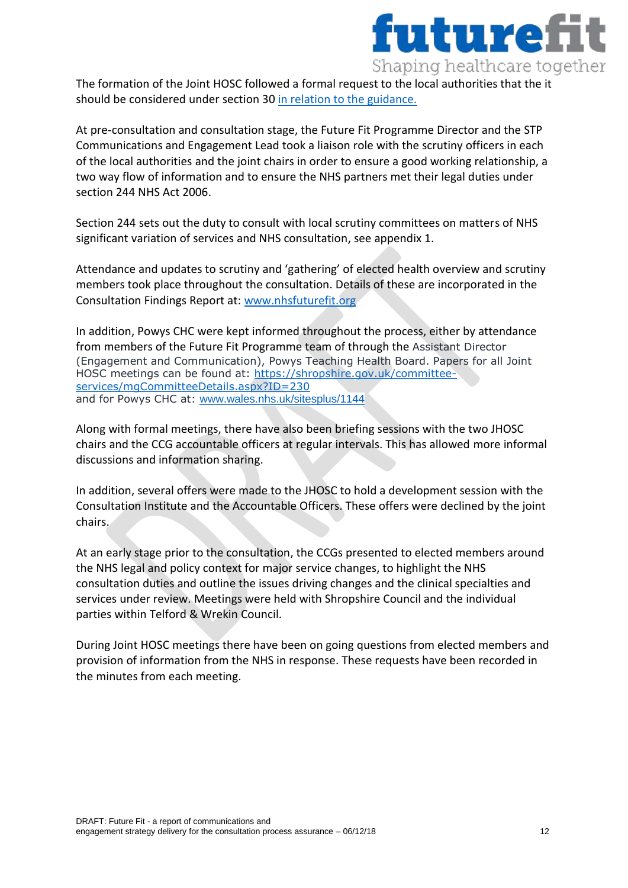

The formation of the Joint HOSC followed a formal request to the local authorities that the it should be considered under section 30 [in relation to the guidance.](https://www.gov.uk/government/uploads/system/uploads/attachment_data/file/324965/Local_authority_health_scrutiny.pdf)

At pre-consultation and consultation stage, the Future Fit Programme Director and the STP Communications and Engagement Lead took a liaison role with the scrutiny officers in each of the local authorities and the joint chairs in order to ensure a good working relationship, a two way flow of information and to ensure the NHS partners met their legal duties under section 244 NHS Act 2006.

Section 244 sets out the duty to consult with local scrutiny committees on matters of NHS significant variation of services and NHS consultation, see appendix 1.

Attendance and updates to scrutiny and 'gathering' of elected health overview and scrutiny members took place throughout the consultation. Details of these are incorporated in the Consultation Findings Report at: [www.nhsfuturefit.org](http://www.nhsfuturefit.org/)

In addition, Powys CHC were kept informed throughout the process, either by attendance from members of the Future Fit Programme team of through the Assistant Director (Engagement and Communication), Powys Teaching Health Board. Papers for all Joint HOSC meetings can be found at: [https://shropshire.gov.uk/committee](https://shropshire.gov.uk/committee-services/mgCommitteeDetails.aspx?ID=230)[services/mgCommitteeDetails.aspx?ID=230](https://shropshire.gov.uk/committee-services/mgCommitteeDetails.aspx?ID=230) and for Powys CHC at: [www.wales.nhs.uk/sitesplus/1144](http://www.wales.nhs.uk/sitesplus/1144)

Along with formal meetings, there have also been briefing sessions with the two JHOSC chairs and the CCG accountable officers at regular intervals. This has allowed more informal discussions and information sharing.

In addition, several offers were made to the JHOSC to hold a development session with the Consultation Institute and the Accountable Officers. These offers were declined by the joint chairs.

At an early stage prior to the consultation, the CCGs presented to elected members around the NHS legal and policy context for major service changes, to highlight the NHS consultation duties and outline the issues driving changes and the clinical specialties and services under review. Meetings were held with Shropshire Council and the individual parties within Telford & Wrekin Council.

During Joint HOSC meetings there have been on going questions from elected members and provision of information from the NHS in response. These requests have been recorded in the minutes from each meeting.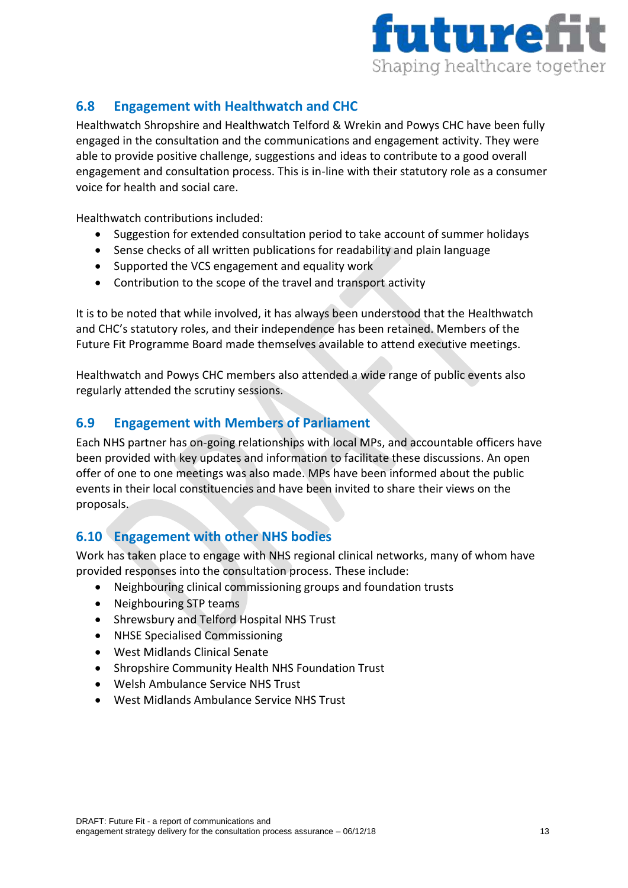

# <span id="page-12-0"></span>**6.8 Engagement with Healthwatch and CHC**

Healthwatch Shropshire and Healthwatch Telford & Wrekin and Powys CHC have been fully engaged in the consultation and the communications and engagement activity. They were able to provide positive challenge, suggestions and ideas to contribute to a good overall engagement and consultation process. This is in-line with their statutory role as a consumer voice for health and social care.

Healthwatch contributions included:

- Suggestion for extended consultation period to take account of summer holidays
- Sense checks of all written publications for readability and plain language
- Supported the VCS engagement and equality work
- Contribution to the scope of the travel and transport activity

It is to be noted that while involved, it has always been understood that the Healthwatch and CHC's statutory roles, and their independence has been retained. Members of the Future Fit Programme Board made themselves available to attend executive meetings.

Healthwatch and Powys CHC members also attended a wide range of public events also regularly attended the scrutiny sessions.

## <span id="page-12-1"></span>**6.9 Engagement with Members of Parliament**

Each NHS partner has on-going relationships with local MPs, and accountable officers have been provided with key updates and information to facilitate these discussions. An open offer of one to one meetings was also made. MPs have been informed about the public events in their local constituencies and have been invited to share their views on the proposals.

## <span id="page-12-2"></span>**6.10 Engagement with other NHS bodies**

Work has taken place to engage with NHS regional clinical networks, many of whom have provided responses into the consultation process. These include:

- Neighbouring clinical commissioning groups and foundation trusts
- Neighbouring STP teams
- Shrewsbury and Telford Hospital NHS Trust
- NHSE Specialised Commissioning
- West Midlands Clinical Senate
- Shropshire Community Health NHS Foundation Trust
- Welsh Ambulance Service NHS Trust
- West Midlands Ambulance Service NHS Trust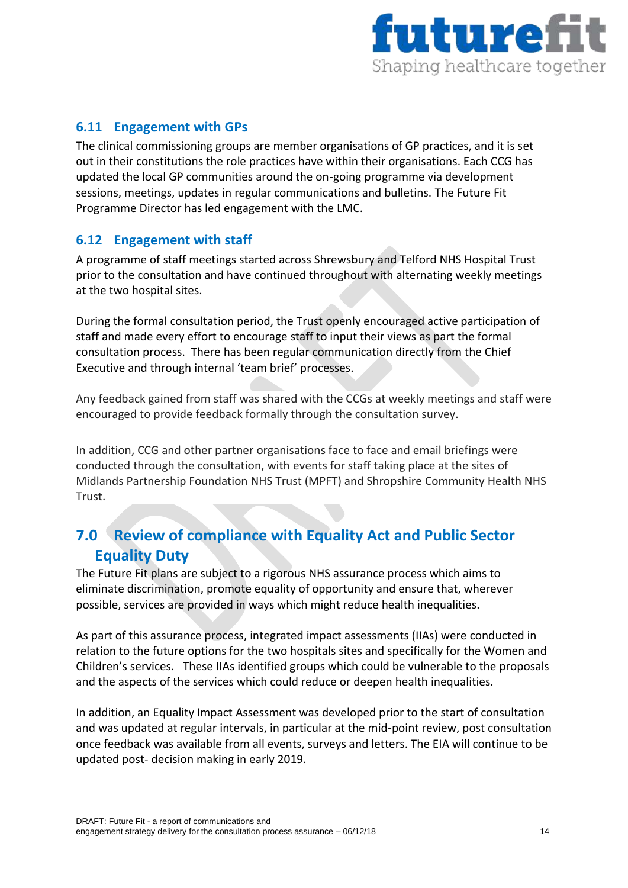

## <span id="page-13-0"></span>**6.11 Engagement with GPs**

The clinical commissioning groups are member organisations of GP practices, and it is set out in their constitutions the role practices have within their organisations. Each CCG has updated the local GP communities around the on-going programme via development sessions, meetings, updates in regular communications and bulletins. The Future Fit Programme Director has led engagement with the LMC.

#### <span id="page-13-1"></span>**6.12 Engagement with staff**

A programme of staff meetings started across Shrewsbury and Telford NHS Hospital Trust prior to the consultation and have continued throughout with alternating weekly meetings at the two hospital sites.

During the formal consultation period, the Trust openly encouraged active participation of staff and made every effort to encourage staff to input their views as part the formal consultation process. There has been regular communication directly from the Chief Executive and through internal 'team brief' processes.

Any feedback gained from staff was shared with the CCGs at weekly meetings and staff were encouraged to provide feedback formally through the consultation survey.

In addition, CCG and other partner organisations face to face and email briefings were conducted through the consultation, with events for staff taking place at the sites of Midlands Partnership Foundation NHS Trust (MPFT) and Shropshire Community Health NHS Trust.

# <span id="page-13-2"></span>**7.0 Review of compliance with Equality Act and Public Sector Equality Duty**

The Future Fit plans are subject to a rigorous NHS assurance process which aims to eliminate discrimination, promote equality of opportunity and ensure that, wherever possible, services are provided in ways which might reduce health inequalities.

As part of this assurance process, integrated impact assessments (IIAs) were conducted in relation to the future options for the two hospitals sites and specifically for the Women and Children's services. These IIAs identified groups which could be vulnerable to the proposals and the aspects of the services which could reduce or deepen health inequalities.

In addition, an Equality Impact Assessment was developed prior to the start of consultation and was updated at regular intervals, in particular at the mid-point review, post consultation once feedback was available from all events, surveys and letters. The EIA will continue to be updated post- decision making in early 2019.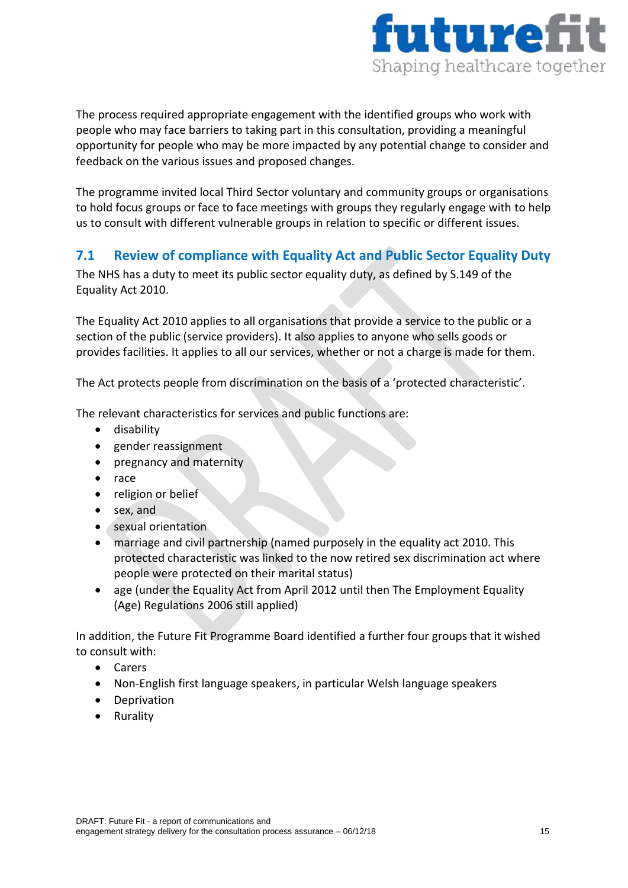

The process required appropriate engagement with the identified groups who work with people who may face barriers to taking part in this consultation, providing a meaningful opportunity for people who may be more impacted by any potential change to consider and feedback on the various issues and proposed changes.

The programme invited local Third Sector voluntary and community groups or organisations to hold focus groups or face to face meetings with groups they regularly engage with to help us to consult with different vulnerable groups in relation to specific or different issues.

## <span id="page-14-0"></span>**7.1 Review of compliance with Equality Act and Public Sector Equality Duty**

The NHS has a duty to meet its public sector equality duty, as defined by S.149 of the Equality Act 2010.

The Equality Act 2010 applies to all organisations that provide a service to the public or a section of the public (service providers). It also applies to anyone who sells goods or provides facilities. It applies to all our services, whether or not a charge is made for them.

The Act protects people from discrimination on the basis of a 'protected characteristic'.

The relevant characteristics for services and public functions are:

- **•** disability
- gender reassignment
- pregnancy and maternity
- race
- religion or belief
- sex, and
- **•** sexual orientation
- marriage and civil partnership (named purposely in the equality act 2010. This protected characteristic was linked to the now retired sex discrimination act where people were protected on their marital status)
- age (under the Equality Act from April 2012 until then The Employment Equality (Age) Regulations 2006 still applied)

In addition, the Future Fit Programme Board identified a further four groups that it wished to consult with:

- Carers
- Non-English first language speakers, in particular Welsh language speakers
- Deprivation
- Rurality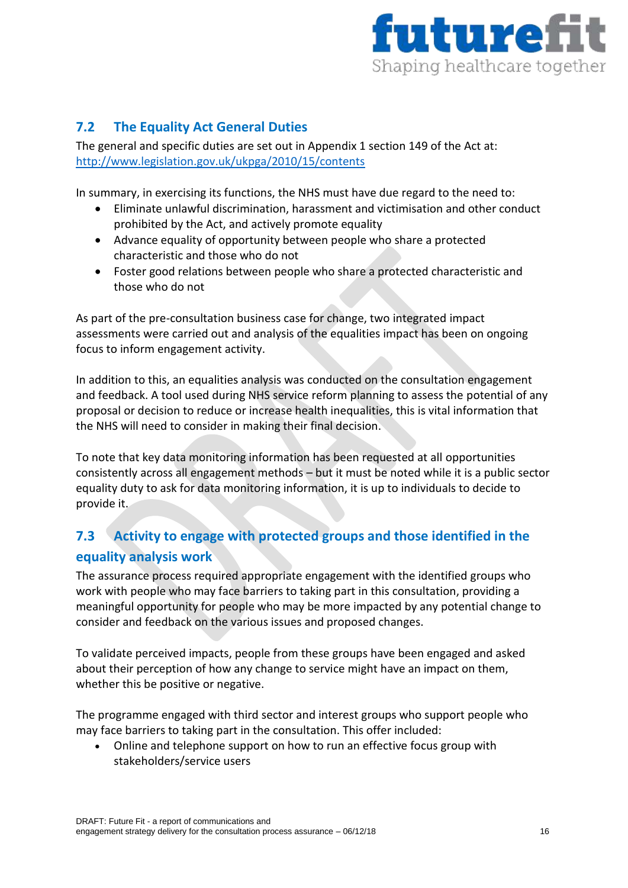

## <span id="page-15-0"></span>**7.2 The Equality Act General Duties**

The general and specific duties are set out in Appendix 1 section 149 of the Act at: <http://www.legislation.gov.uk/ukpga/2010/15/contents>

In summary, in exercising its functions, the NHS must have due regard to the need to:

- Eliminate unlawful discrimination, harassment and victimisation and other conduct prohibited by the Act, and actively promote equality
- Advance equality of opportunity between people who share a protected characteristic and those who do not
- Foster good relations between people who share a protected characteristic and those who do not

As part of the pre-consultation business case for change, two integrated impact assessments were carried out and analysis of the equalities impact has been on ongoing focus to inform engagement activity.

In addition to this, an equalities analysis was conducted on the consultation engagement and feedback. A tool used during NHS service reform planning to assess the potential of any proposal or decision to reduce or increase health inequalities, this is vital information that the NHS will need to consider in making their final decision.

To note that key data monitoring information has been requested at all opportunities consistently across all engagement methods – but it must be noted while it is a public sector equality duty to ask for data monitoring information, it is up to individuals to decide to provide it.

# <span id="page-15-1"></span>**7.3 Activity to engage with protected groups and those identified in the equality analysis work**

The assurance process required appropriate engagement with the identified groups who work with people who may face barriers to taking part in this consultation, providing a meaningful opportunity for people who may be more impacted by any potential change to consider and feedback on the various issues and proposed changes.

To validate perceived impacts, people from these groups have been engaged and asked about their perception of how any change to service might have an impact on them, whether this be positive or negative.

The programme engaged with third sector and interest groups who support people who may face barriers to taking part in the consultation. This offer included:

 Online and telephone support on how to run an effective focus group with stakeholders/service users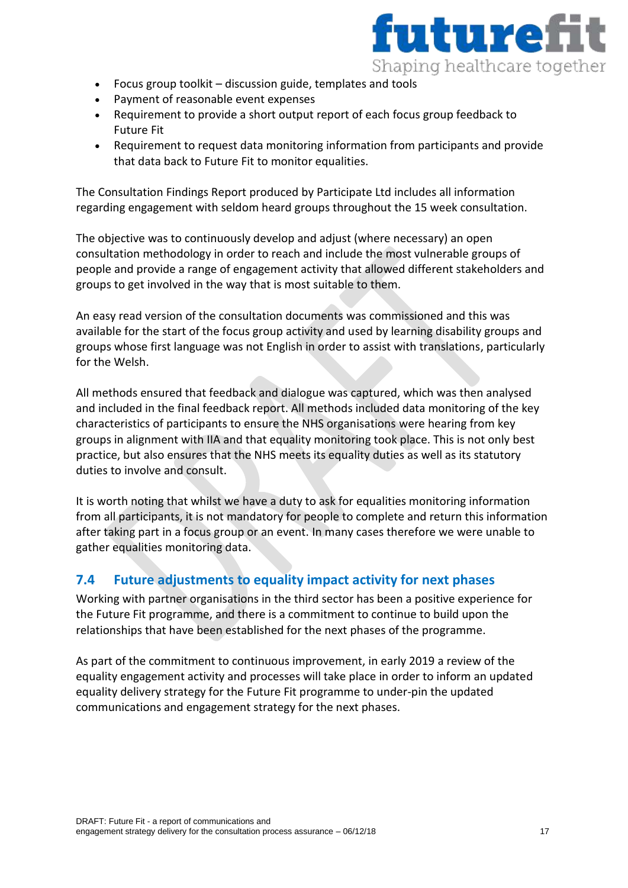

- Focus group toolkit discussion guide, templates and tools
- Payment of reasonable event expenses
- Requirement to provide a short output report of each focus group feedback to Future Fit
- Requirement to request data monitoring information from participants and provide that data back to Future Fit to monitor equalities.

The Consultation Findings Report produced by Participate Ltd includes all information regarding engagement with seldom heard groups throughout the 15 week consultation.

The objective was to continuously develop and adjust (where necessary) an open consultation methodology in order to reach and include the most vulnerable groups of people and provide a range of engagement activity that allowed different stakeholders and groups to get involved in the way that is most suitable to them.

An easy read version of the consultation documents was commissioned and this was available for the start of the focus group activity and used by learning disability groups and groups whose first language was not English in order to assist with translations, particularly for the Welsh.

All methods ensured that feedback and dialogue was captured, which was then analysed and included in the final feedback report. All methods included data monitoring of the key characteristics of participants to ensure the NHS organisations were hearing from key groups in alignment with IIA and that equality monitoring took place. This is not only best practice, but also ensures that the NHS meets its equality duties as well as its statutory duties to involve and consult.

It is worth noting that whilst we have a duty to ask for equalities monitoring information from all participants, it is not mandatory for people to complete and return this information after taking part in a focus group or an event. In many cases therefore we were unable to gather equalities monitoring data.

## <span id="page-16-0"></span>**7.4 Future adjustments to equality impact activity for next phases**

Working with partner organisations in the third sector has been a positive experience for the Future Fit programme, and there is a commitment to continue to build upon the relationships that have been established for the next phases of the programme.

As part of the commitment to continuous improvement, in early 2019 a review of the equality engagement activity and processes will take place in order to inform an updated equality delivery strategy for the Future Fit programme to under-pin the updated communications and engagement strategy for the next phases.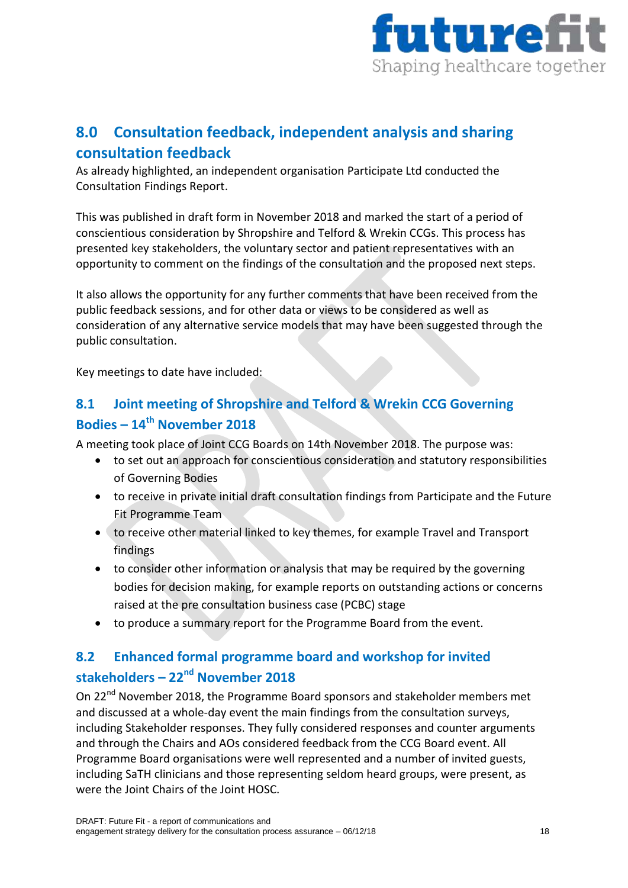

# <span id="page-17-0"></span>**8.0 Consultation feedback, independent analysis and sharing consultation feedback**

As already highlighted, an independent organisation Participate Ltd conducted the Consultation Findings Report.

This was published in draft form in November 2018 and marked the start of a period of conscientious consideration by Shropshire and Telford & Wrekin CCGs. This process has presented key stakeholders, the voluntary sector and patient representatives with an opportunity to comment on the findings of the consultation and the proposed next steps.

It also allows the opportunity for any further comments that have been received from the public feedback sessions, and for other data or views to be considered as well as consideration of any alternative service models that may have been suggested through the public consultation.

Key meetings to date have included:

# <span id="page-17-1"></span>**8.1 Joint meeting of Shropshire and Telford & Wrekin CCG Governing Bodies – 14th November 2018**

A meeting took place of Joint CCG Boards on 14th November 2018. The purpose was:

- to set out an approach for conscientious consideration and statutory responsibilities of Governing Bodies
- to receive in private initial draft consultation findings from Participate and the Future Fit Programme Team
- to receive other material linked to key themes, for example Travel and Transport findings
- to consider other information or analysis that may be required by the governing bodies for decision making, for example reports on outstanding actions or concerns raised at the pre consultation business case (PCBC) stage
- to produce a summary report for the Programme Board from the event.

# <span id="page-17-2"></span>**8.2 Enhanced formal programme board and workshop for invited stakeholders – 22nd November 2018**

On 22<sup>nd</sup> November 2018, the Programme Board sponsors and stakeholder members met and discussed at a whole-day event the main findings from the consultation surveys, including Stakeholder responses. They fully considered responses and counter arguments and through the Chairs and AOs considered feedback from the CCG Board event. All Programme Board organisations were well represented and a number of invited guests, including SaTH clinicians and those representing seldom heard groups, were present, as were the Joint Chairs of the Joint HOSC.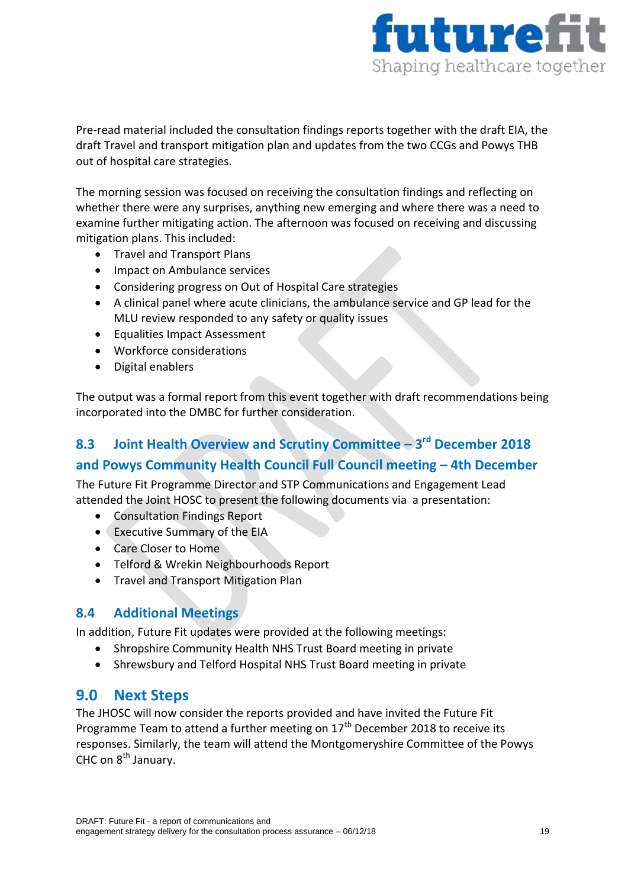

Pre-read material included the consultation findings reports together with the draft EIA, the draft Travel and transport mitigation plan and updates from the two CCGs and Powys THB out of hospital care strategies.

The morning session was focused on receiving the consultation findings and reflecting on whether there were any surprises, anything new emerging and where there was a need to examine further mitigating action. The afternoon was focused on receiving and discussing mitigation plans. This included:

- Travel and Transport Plans
- Impact on Ambulance services
- Considering progress on Out of Hospital Care strategies
- A clinical panel where acute clinicians, the ambulance service and GP lead for the MLU review responded to any safety or quality issues
- Equalities Impact Assessment
- Workforce considerations
- Digital enablers

The output was a formal report from this event together with draft recommendations being incorporated into the DMBC for further consideration.

# <span id="page-18-0"></span>**8.3 Joint Health Overview and Scrutiny Committee – 3 rd December 2018 and Powys Community Health Council Full Council meeting – 4th December**

The Future Fit Programme Director and STP Communications and Engagement Lead attended the Joint HOSC to present the following documents via a presentation:

- Consultation Findings Report
- Executive Summary of the EIA
- Care Closer to Home
- Telford & Wrekin Neighbourhoods Report
- Travel and Transport Mitigation Plan

## <span id="page-18-1"></span>**8.4 Additional Meetings**

In addition, Future Fit updates were provided at the following meetings:

- Shropshire Community Health NHS Trust Board meeting in private
- Shrewsbury and Telford Hospital NHS Trust Board meeting in private

## <span id="page-18-2"></span>**9.0 Next Steps**

The JHOSC will now consider the reports provided and have invited the Future Fit Programme Team to attend a further meeting on 17<sup>th</sup> December 2018 to receive its responses. Similarly, the team will attend the Montgomeryshire Committee of the Powys CHC on  $8^{th}$  January.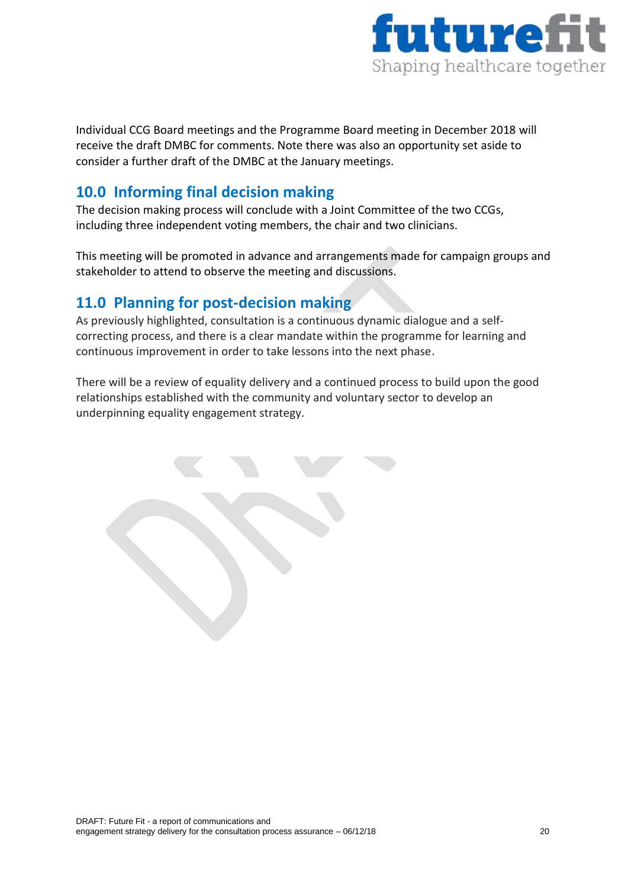

Individual CCG Board meetings and the Programme Board meeting in December 2018 will receive the draft DMBC for comments. Note there was also an opportunity set aside to consider a further draft of the DMBC at the January meetings.

# <span id="page-19-0"></span>**10.0 Informing final decision making**

The decision making process will conclude with a Joint Committee of the two CCGs, including three independent voting members, the chair and two clinicians.

This meeting will be promoted in advance and arrangements made for campaign groups and stakeholder to attend to observe the meeting and discussions.

# <span id="page-19-1"></span>**11.0 Planning for post-decision making**

As previously highlighted, consultation is a continuous dynamic dialogue and a selfcorrecting process, and there is a clear mandate within the programme for learning and continuous improvement in order to take lessons into the next phase.

There will be a review of equality delivery and a continued process to build upon the good relationships established with the community and voluntary sector to develop an underpinning equality engagement strategy.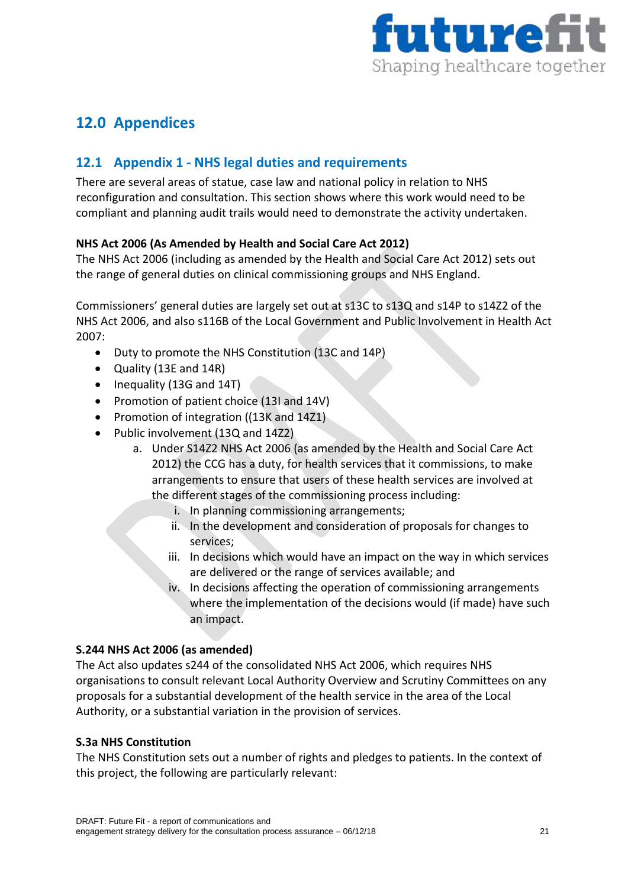

# <span id="page-20-0"></span>**12.0 Appendices**

## <span id="page-20-1"></span>**12.1 Appendix 1 - NHS legal duties and requirements**

There are several areas of statue, case law and national policy in relation to NHS reconfiguration and consultation. This section shows where this work would need to be compliant and planning audit trails would need to demonstrate the activity undertaken.

#### **NHS Act 2006 (As Amended by Health and Social Care Act 2012)**

The NHS Act 2006 (including as amended by the Health and Social Care Act 2012) sets out the range of general duties on clinical commissioning groups and NHS England.

Commissioners' general duties are largely set out at s13C to s13Q and s14P to s14Z2 of the NHS Act 2006, and also s116B of the Local Government and Public Involvement in Health Act 2007:

- Duty to promote the NHS Constitution (13C and 14P)
- Quality (13E and 14R)
- Inequality (13G and 14T)
- Promotion of patient choice (13I and 14V)
- Promotion of integration ((13K and 14Z1)
- Public involvement (13Q and 14Z2)
	- a. Under S14Z2 NHS Act 2006 (as amended by the Health and Social Care Act 2012) the CCG has a duty, for health services that it commissions, to make arrangements to ensure that users of these health services are involved at the different stages of the commissioning process including:
		- i. In planning commissioning arrangements;
		- ii. In the development and consideration of proposals for changes to services;
		- iii. In decisions which would have an impact on the way in which services are delivered or the range of services available; and
		- iv. In decisions affecting the operation of commissioning arrangements where the implementation of the decisions would (if made) have such an impact.

#### **S.244 NHS Act 2006 (as amended)**

The Act also updates s244 of the consolidated NHS Act 2006, which requires NHS organisations to consult relevant Local Authority Overview and Scrutiny Committees on any proposals for a substantial development of the health service in the area of the Local Authority, or a substantial variation in the provision of services.

#### **S.3a NHS Constitution**

The NHS Constitution sets out a number of rights and pledges to patients. In the context of this project, the following are particularly relevant: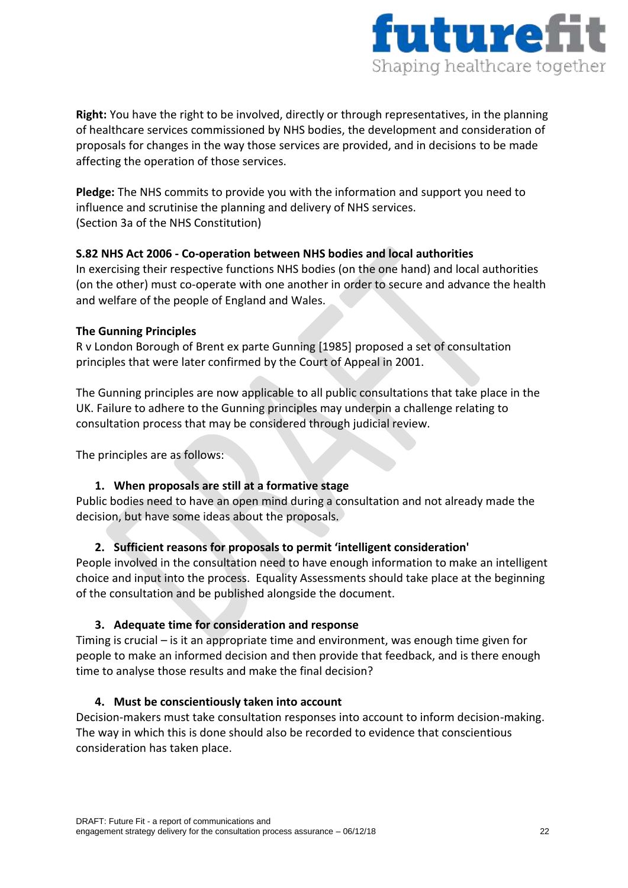

**Right:** You have the right to be involved, directly or through representatives, in the planning of healthcare services commissioned by NHS bodies, the development and consideration of proposals for changes in the way those services are provided, and in decisions to be made affecting the operation of those services.

**Pledge:** The NHS commits to provide you with the information and support you need to influence and scrutinise the planning and delivery of NHS services. (Section 3a of the NHS Constitution)

#### **S.82 NHS Act 2006 - Co-operation between NHS bodies and local authorities**

In exercising their respective functions NHS bodies (on the one hand) and local authorities (on the other) must co-operate with one another in order to secure and advance the health and welfare of the people of England and Wales.

#### **The Gunning Principles**

R v London Borough of Brent ex parte Gunning [1985] proposed a set of consultation principles that were later confirmed by the Court of Appeal in 2001.

The Gunning principles are now applicable to all public consultations that take place in the UK. Failure to adhere to the Gunning principles may underpin a challenge relating to consultation process that may be considered through judicial review.

The principles are as follows:

#### **1. When proposals are still at a formative stage**

Public bodies need to have an open mind during a consultation and not already made the decision, but have some ideas about the proposals.

#### **2. Sufficient reasons for proposals to permit 'intelligent consideration'**

People involved in the consultation need to have enough information to make an intelligent choice and input into the process. Equality Assessments should take place at the beginning of the consultation and be published alongside the document.

#### **3. Adequate time for consideration and response**

Timing is crucial – is it an appropriate time and environment, was enough time given for people to make an informed decision and then provide that feedback, and is there enough time to analyse those results and make the final decision?

#### **4. Must be conscientiously taken into account**

Decision-makers must take consultation responses into account to inform decision-making. The way in which this is done should also be recorded to evidence that conscientious consideration has taken place.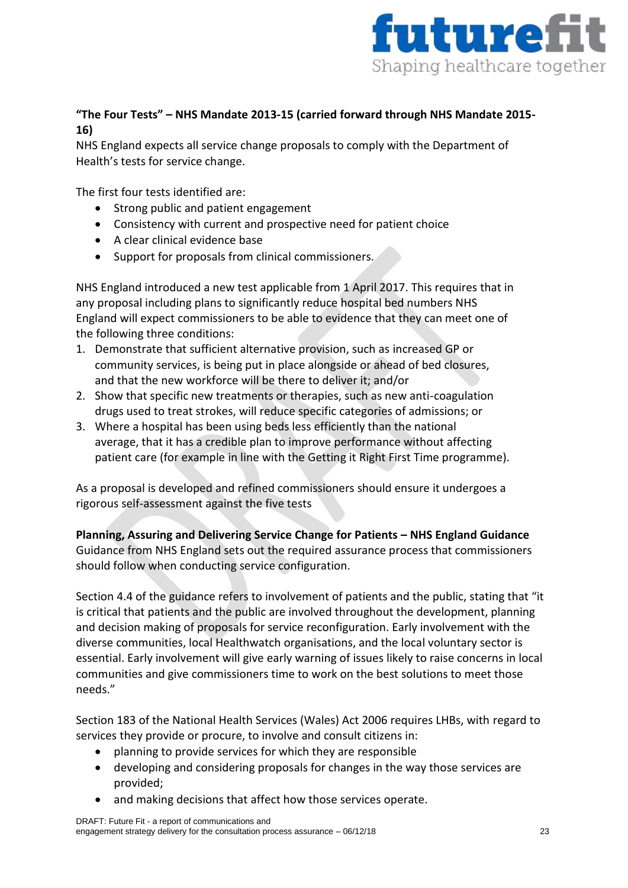

## **"The Four Tests" – NHS Mandate 2013-15 (carried forward through NHS Mandate 2015- 16)**

NHS England expects all service change proposals to comply with the Department of Health's tests for service change.

The first four tests identified are:

- Strong public and patient engagement
- Consistency with current and prospective need for patient choice
- A clear clinical evidence base
- Support for proposals from clinical commissioners.

NHS England introduced a new test applicable from 1 April 2017. This requires that in any proposal including plans to significantly reduce hospital bed numbers NHS England will expect commissioners to be able to evidence that they can meet one of the following three conditions:

- 1. Demonstrate that sufficient alternative provision, such as increased GP or community services, is being put in place alongside or ahead of bed closures, and that the new workforce will be there to deliver it; and/or
- 2. Show that specific new treatments or therapies, such as new anti-coagulation drugs used to treat strokes, will reduce specific categories of admissions; or
- 3. Where a hospital has been using beds less efficiently than the national average, that it has a credible plan to improve performance without affecting patient care (for example in line with the Getting it Right First Time programme).

As a proposal is developed and refined commissioners should ensure it undergoes a rigorous self-assessment against the five tests

#### **Planning, Assuring and Delivering Service Change for Patients – NHS England Guidance** Guidance from NHS England sets out the required assurance process that commissioners should follow when conducting service configuration.

Section 4.4 of the guidance refers to involvement of patients and the public, stating that "it is critical that patients and the public are involved throughout the development, planning and decision making of proposals for service reconfiguration. Early involvement with the diverse communities, local Healthwatch organisations, and the local voluntary sector is essential. Early involvement will give early warning of issues likely to raise concerns in local communities and give commissioners time to work on the best solutions to meet those needs."

Section 183 of the National Health Services (Wales) Act 2006 requires LHBs, with regard to services they provide or procure, to involve and consult citizens in:

- planning to provide services for which they are responsible
- developing and considering proposals for changes in the way those services are provided;
- and making decisions that affect how those services operate.